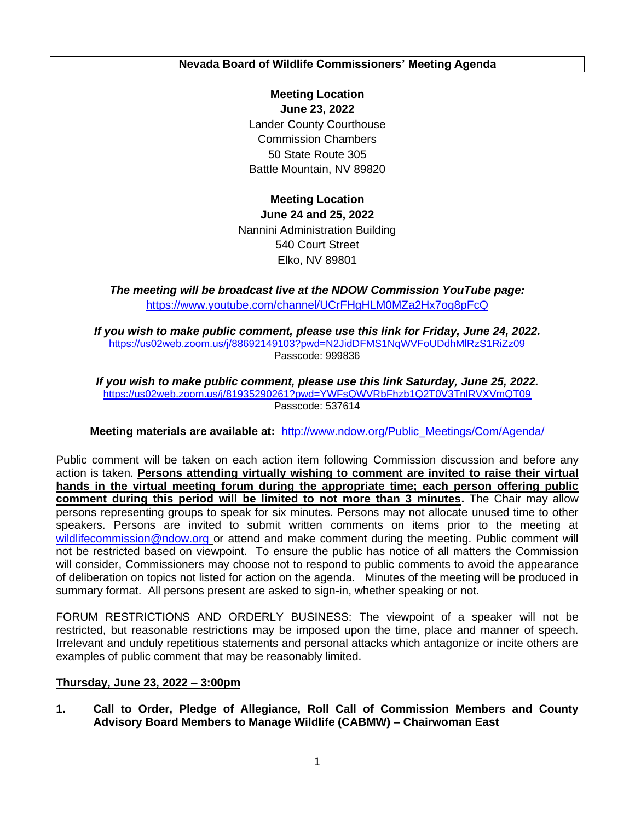**Nevada Board of Wildlife Commissioners' Meeting Agenda**

 **Meeting Location June 23, 2022**  Battle Mountain, NV 89820 Lander County Courthouse Commission Chambers 50 State Route 305

 **June 24 and 25, 2022**  Elko, NV 89801 **Meeting Location**  Nannini Administration Building 540 Court Street

 *The meeting will be broadcast live at the NDOW Commission YouTube page:*  <https://www.youtube.com/channel/UCrFHgHLM0MZa2Hx7og8pFcQ>

 *If you wish to make public comment, please use this link for Friday, June 24, 2022.*  <https://us02web.zoom.us/j/88692149103?pwd=N2JidDFMS1NqWVFoUDdhMlRzS1RiZz09> Passcode: 999836

 *If you wish to make public comment, please use this link Saturday, June 25, 2022.*  <https://us02web.zoom.us/j/81935290261?pwd=YWFsQWVRbFhzb1Q2T0V3TnlRVXVmQT09> Passcode: 537614

 **Meeting materials are available at:** [http://www.ndow.org/Public\\_Meetings/Com/Agenda/](http://www.ndow.org/Public_Meetings/Com/Agenda/) 

 Public comment will be taken on each action item following Commission discussion and before any action is taken. **Persons attending virtually wishing to comment are invited to raise their virtual hands in the virtual meeting forum during the appropriate time; each person offering public comment during this period will be limited to not more than 3 minutes.** The Chair may allow persons representing groups to speak for six minutes. Persons may not allocate unused time to other speakers. Persons are invited to submit written comments on items prior to the meeting at [wildlifecommission@ndow.org](mailto:wildlifecommission@ndow.org) or attend and make comment during the meeting. Public comment will not be restricted based on viewpoint. To ensure the public has notice of all matters the Commission will consider, Commissioners may choose not to respond to public comments to avoid the appearance of deliberation on topics not listed for action on the agenda. Minutes of the meeting will be produced in summary format. All persons present are asked to sign-in, whether speaking or not.

 FORUM RESTRICTIONS AND ORDERLY BUSINESS: The viewpoint of a speaker will not be restricted, but reasonable restrictions may be imposed upon the time, place and manner of speech. examples of public comment that may be reasonably limited. Irrelevant and unduly repetitious statements and personal attacks which antagonize or incite others are

## **Thursday, June 23, 2022 – 3:00pm**

 **1. Call to Order, Pledge of Allegiance, Roll Call of Commission Members and County Advisory Board Members to Manage Wildlife (CABMW) – Chairwoman East**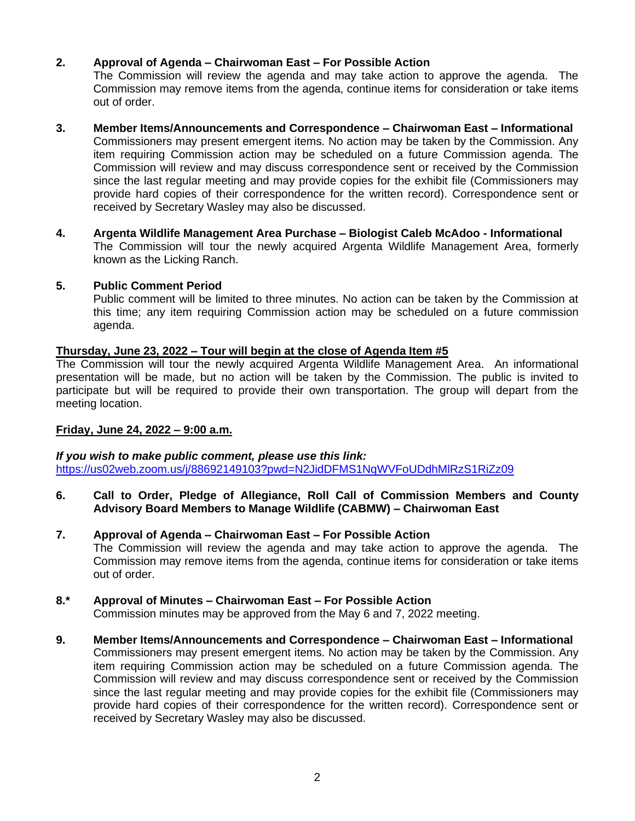# **2. Approval of Agenda – Chairwoman East – For Possible Action**

 The Commission will review the agenda and may take action to approve the agenda. The Commission may remove items from the agenda, continue items for consideration or take items out of order.

# **3. Member Items/Announcements and Correspondence – Chairwoman East – Informational**

 Commissioners may present emergent items. No action may be taken by the Commission. Any item requiring Commission action may be scheduled on a future Commission agenda. The Commission will review and may discuss correspondence sent or received by the Commission since the last regular meeting and may provide copies for the exhibit file (Commissioners may provide hard copies of their correspondence for the written record). Correspondence sent or received by Secretary Wasley may also be discussed.

 **4. Argenta Wildlife Management Area Purchase – Biologist Caleb McAdoo - Informational**  The Commission will tour the newly acquired Argenta Wildlife Management Area, formerly known as the Licking Ranch.

## **5. Public Comment Period**

 Public comment will be limited to three minutes. No action can be taken by the Commission at this time; any item requiring Commission action may be scheduled on a future commission agenda.

## **Thursday, June 23, 2022 – Tour will begin at the close of Agenda Item #5**

 The Commission will tour the newly acquired Argenta Wildlife Management Area. An informational presentation will be made, but no action will be taken by the Commission. The public is invited to participate but will be required to provide their own transportation. The group will depart from the meeting location.

# **Friday, June 24, 2022 – 9:00 a.m.**

 *If you wish to make public comment, please use this link:*  <https://us02web.zoom.us/j/88692149103?pwd=N2JidDFMS1NqWVFoUDdhMlRzS1RiZz09>

 **6. Call to Order, Pledge of Allegiance, Roll Call of Commission Members and County Advisory Board Members to Manage Wildlife (CABMW) – Chairwoman East** 

#### **7. Approval of Agenda – Chairwoman East – For Possible Action**  The Commission will review the agenda and may take action to approve the agenda. The Commission may remove items from the agenda, continue items for consideration or take items out of order.

## **8.\* Approval of Minutes – Chairwoman East – For Possible Action**

Commission minutes may be approved from the May 6 and 7, 2022 meeting.

 Commissioners may present emergent items. No action may be taken by the Commission. Any item requiring Commission action may be scheduled on a future Commission agenda. The Commission will review and may discuss correspondence sent or received by the Commission since the last regular meeting and may provide copies for the exhibit file (Commissioners may provide hard copies of their correspondence for the written record). Correspondence sent or received by Secretary Wasley may also be discussed. **9. Member Items/Announcements and Correspondence – Chairwoman East – Informational**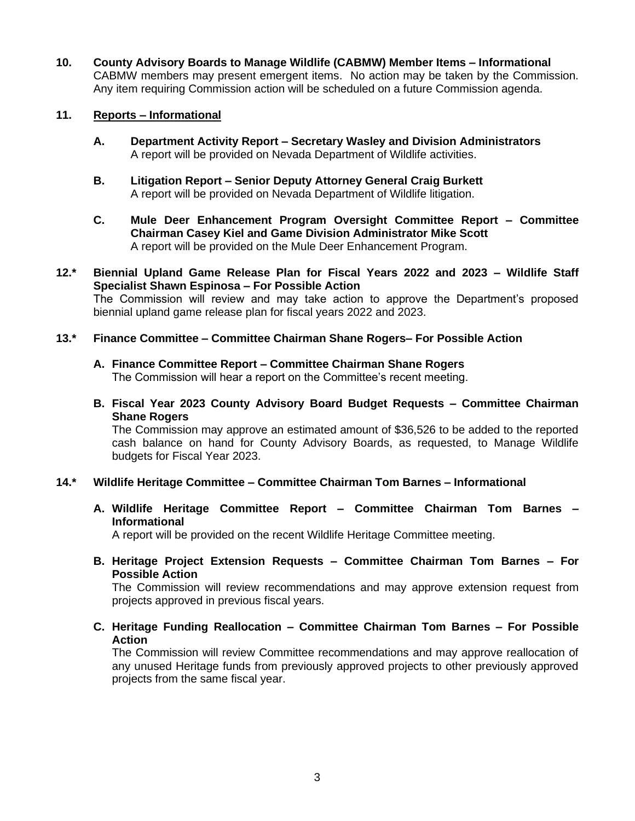**10. County Advisory Boards to Manage Wildlife (CABMW) Member Items – Informational**  CABMW members may present emergent items. No action may be taken by the Commission. Any item requiring Commission action will be scheduled on a future Commission agenda.

## **11. Reports – Informational**

- **A. Department Activity Report – Secretary Wasley and Division Administrators**  A report will be provided on Nevada Department of Wildlife activities.
- **B. Litigation Report – Senior Deputy Attorney General Craig Burkett**  A report will be provided on Nevada Department of Wildlife litigation.
- **C. Mule Deer Enhancement Program Oversight Committee Report – Committee Chairman Casey Kiel and Game Division Administrator Mike Scott**  A report will be provided on the Mule Deer Enhancement Program.
- **12.\* Biennial Upland Game Release Plan for Fiscal Years 2022 and 2023 – Wildlife Staff Specialist Shawn Espinosa – For Possible Action**  The Commission will review and may take action to approve the Department's proposed biennial upland game release plan for fiscal years 2022 and 2023.

#### **13.\* Finance Committee – Committee Chairman Shane Rogers– For Possible Action**

- **A. Finance Committee Report – Committee Chairman Shane Rogers**  The Commission will hear a report on the Committee's recent meeting.
- **B. Fiscal Year 2023 County Advisory Board Budget Requests – Committee Chairman Shane Rogers**

 The Commission may approve an estimated amount of \$36,526 to be added to the reported cash balance on hand for County Advisory Boards, as requested, to Manage Wildlife budgets for Fiscal Year 2023.

## **14.\* Wildlife Heritage Committee – Committee Chairman Tom Barnes – Informational**

 **A. Wildlife Heritage Committee Report – Committee Chairman Tom Barnes – Informational** 

A report will be provided on the recent Wildlife Heritage Committee meeting.

 **B. Heritage Project Extension Requests – Committee Chairman Tom Barnes – For Possible Action** 

 The Commission will review recommendations and may approve extension request from projects approved in previous fiscal years.

 **C. Heritage Funding Reallocation – Committee Chairman Tom Barnes – For Possible Action** 

 The Commission will review Committee recommendations and may approve reallocation of projects from the same fiscal year. any unused Heritage funds from previously approved projects to other previously approved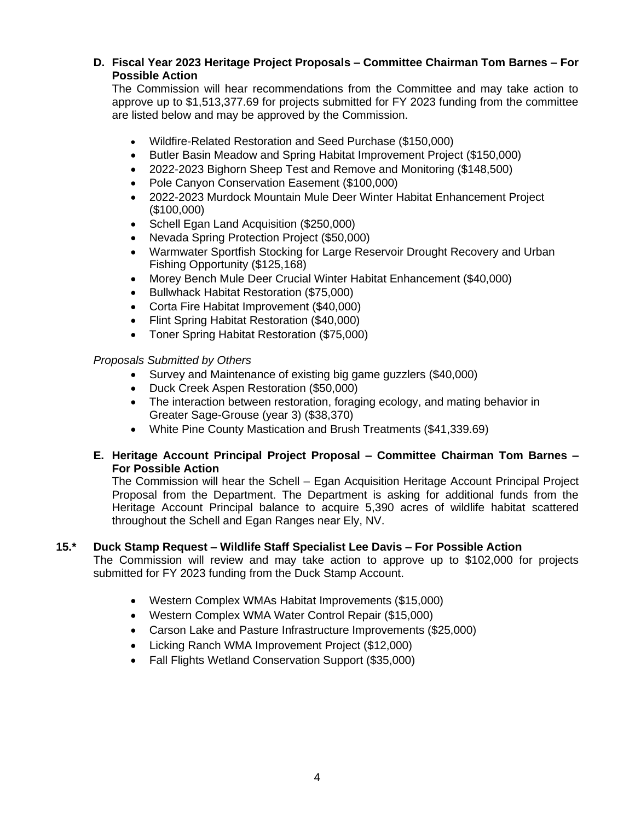# **D. Fiscal Year 2023 Heritage Project Proposals – Committee Chairman Tom Barnes – For Possible Action**

 The Commission will hear recommendations from the Committee and may take action to approve up to \$[1,513,377.69](https://1,513,377.69) for projects submitted for FY 2023 funding from the committee are listed below and may be approved by the Commission.

- Wildfire-Related Restoration and Seed Purchase (\$150,000)
- Butler Basin Meadow and Spring Habitat Improvement Project (\$150,000)
- 2022-2023 Bighorn Sheep Test and Remove and Monitoring (\$148,500)
- Pole Canyon Conservation Easement (\$100,000)
- • 2022-2023 Murdock Mountain Mule Deer Winter Habitat Enhancement Project (\$100,000)
- Schell Egan Land Acquisition (\$250,000)
- Nevada Spring Protection Project (\$50,000)
- • Warmwater Sportfish Stocking for Large Reservoir Drought Recovery and Urban Fishing Opportunity (\$125,168)
- Morey Bench Mule Deer Crucial Winter Habitat Enhancement (\$40,000)
- Bullwhack Habitat Restoration (\$75,000)
- Corta Fire Habitat Improvement (\$40,000)
- Flint Spring Habitat Restoration (\$40,000)
- Toner Spring Habitat Restoration (\$75,000)

#### *Proposals Submitted by Others*

- Survey and Maintenance of existing big game guzzlers (\$40,000)
- Duck Creek Aspen Restoration (\$50,000)
- • The interaction between restoration, foraging ecology, and mating behavior in Greater Sage-Grouse (year 3) (\$38,370)
- White Pine County Mastication and Brush Treatments (\$[41,339.69\)](https://41,339.69)

## **E. Heritage Account Principal Project Proposal – Committee Chairman Tom Barnes – For Possible Action**

 The Commission will hear the Schell – Egan Acquisition Heritage Account Principal Project Proposal from the Department. The Department is asking for additional funds from the Heritage Account Principal balance to acquire 5,390 acres of wildlife habitat scattered throughout the Schell and Egan Ranges near Ely, NV.

## **15.\* Duck Stamp Request – Wildlife Staff Specialist Lee Davis – For Possible Action**

 The Commission will review and may take action to approve up to \$102,000 for projects submitted for FY 2023 funding from the Duck Stamp Account.

- Western Complex WMAs Habitat Improvements (\$15,000)
- Western Complex WMA Water Control Repair (\$15,000)
- Carson Lake and Pasture Infrastructure Improvements (\$25,000)
- Licking Ranch WMA Improvement Project (\$12,000)
- Fall Flights Wetland Conservation Support (\$35,000)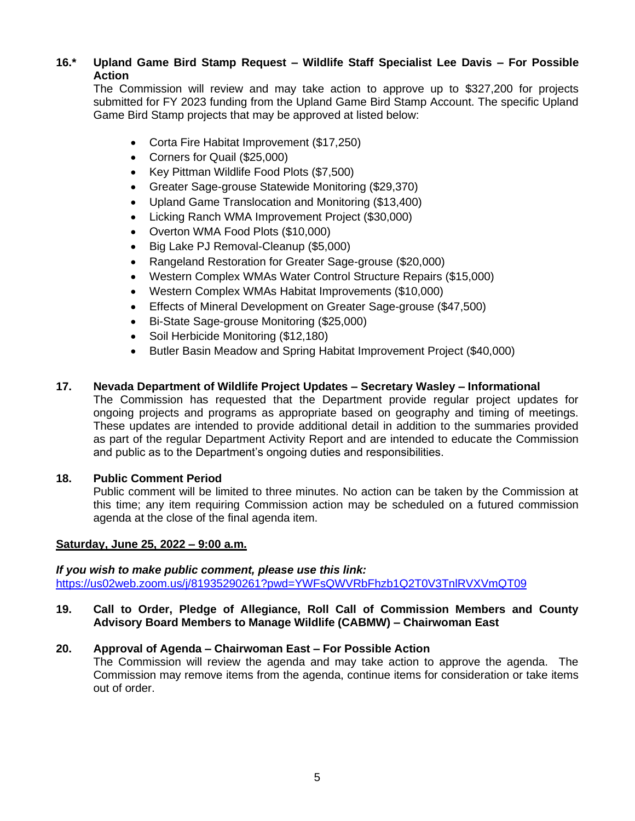# **16.\* Upland Game Bird Stamp Request – Wildlife Staff Specialist Lee Davis – For Possible Action**

 The Commission will review and may take action to approve up to \$327,200 for projects submitted for FY 2023 funding from the Upland Game Bird Stamp Account. The specific Upland Game Bird Stamp projects that may be approved at listed below:

- Corta Fire Habitat Improvement (\$17,250)
- Corners for Quail (\$25,000)
- Key Pittman Wildlife Food Plots (\$7,500)
- Greater Sage-grouse Statewide Monitoring (\$29,370)
- Upland Game Translocation and Monitoring (\$13,400)
- Licking Ranch WMA Improvement Project (\$30,000)
- Overton WMA Food Plots (\$10,000)
- Big Lake PJ Removal-Cleanup (\$5,000)
- Rangeland Restoration for Greater Sage-grouse (\$20,000)
- Western Complex WMAs Water Control Structure Repairs (\$15,000)
- Western Complex WMAs Habitat Improvements (\$10,000)
- Effects of Mineral Development on Greater Sage-grouse (\$47,500)
- Bi-State Sage-grouse Monitoring (\$25,000)
- Soil Herbicide Monitoring (\$12,180)
- Butler Basin Meadow and Spring Habitat Improvement Project (\$40,000)

#### **17. Nevada Department of Wildlife Project Updates – Secretary Wasley – Informational**

 The Commission has requested that the Department provide regular project updates for ongoing projects and programs as appropriate based on geography and timing of meetings. These updates are intended to provide additional detail in addition to the summaries provided as part of the regular Department Activity Report and are intended to educate the Commission and public as to the Department's ongoing duties and responsibilities.

#### **18. Public Comment Period**

 Public comment will be limited to three minutes. No action can be taken by the Commission at this time; any item requiring Commission action may be scheduled on a futured commission agenda at the close of the final agenda item.

#### **Saturday, June 25, 2022 – 9:00 a.m.**

 *If you wish to make public comment, please use this link:*  <https://us02web.zoom.us/j/81935290261?pwd=YWFsQWVRbFhzb1Q2T0V3TnlRVXVmQT09>

 **19. Call to Order, Pledge of Allegiance, Roll Call of Commission Members and County Advisory Board Members to Manage Wildlife (CABMW) – Chairwoman East** 

## **20. Approval of Agenda – Chairwoman East – For Possible Action**

 The Commission will review the agenda and may take action to approve the agenda. The Commission may remove items from the agenda, continue items for consideration or take items out of order.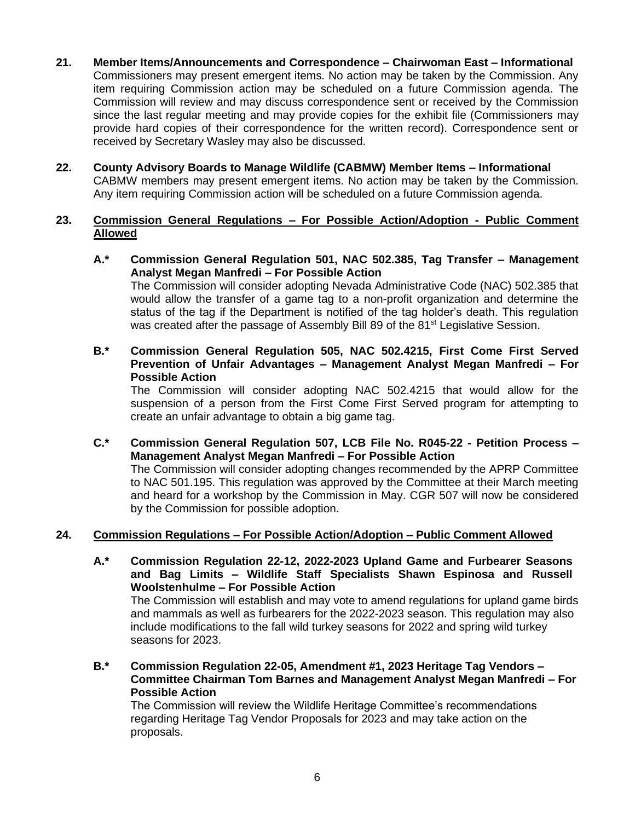- **21. Member Items/Announcements and Correspondence – Chairwoman East – Informational**  Commissioners may present emergent items. No action may be taken by the Commission. Any item requiring Commission action may be scheduled on a future Commission agenda. The Commission will review and may discuss correspondence sent or received by the Commission since the last regular meeting and may provide copies for the exhibit file (Commissioners may provide hard copies of their correspondence for the written record). Correspondence sent or received by Secretary Wasley may also be discussed.
- **22. County Advisory Boards to Manage Wildlife (CABMW) Member Items – Informational**  Any item requiring Commission action will be scheduled on a future Commission agenda. CABMW members may present emergent items. No action may be taken by the Commission.

### **23. Commission General Regulations – For Possible Action/Adoption - Public Comment Allowed**

- **A.\* Commission General Regulation 501, NAC 502.385, Tag Transfer – Management Analyst Megan Manfredi – For Possible Action**  The Commission will consider adopting Nevada Administrative Code (NAC) 502.385 that would allow the transfer of a game tag to a non-profit organization and determine the status of the tag if the Department is notified of the tag holder's death. This regulation was created after the passage of Assembly Bill 89 of the 81<sup>st</sup> Legislative Session.
- **B.\* Commission General Regulation 505, NAC 502.4215, First Come First Served Prevention of Unfair Advantages – Management Analyst Megan Manfredi – For Possible Action**

 The Commission will consider adopting NAC 502.4215 that would allow for the suspension of a person from the First Come First Served program for attempting to create an unfair advantage to obtain a big game tag.

 **C.\* Commission General Regulation 507, LCB File No. R045-22 - Petition Process – Management Analyst Megan Manfredi – For Possible Action** 

 The Commission will consider adopting changes recommended by the APRP Committee to NAC 501.195. This regulation was approved by the Committee at their March meeting and heard for a workshop by the Commission in May. CGR 507 will now be considered by the Commission for possible adoption.

## **24. Commission Regulations – For Possible Action/Adoption – Public Comment Allowed**

 **A.\* Commission Regulation 22-12, 2022-2023 Upland Game and Furbearer Seasons and Bag Limits – Wildlife Staff Specialists Shawn Espinosa and Russell Woolstenhulme – For Possible Action** 

 The Commission will establish and may vote to amend regulations for upland game birds and mammals as well as furbearers for the 2022-2023 season. This regulation may also include modifications to the fall wild turkey seasons for 2022 and spring wild turkey seasons for 2023.

 **Committee Chairman Tom Barnes and Management Analyst Megan Manfredi – For B.\* Commission Regulation 22-05, Amendment #1, 2023 Heritage Tag Vendors – Possible Action** 

 The Commission will review the Wildlife Heritage Committee's recommendations regarding Heritage Tag Vendor Proposals for 2023 and may take action on the proposals.